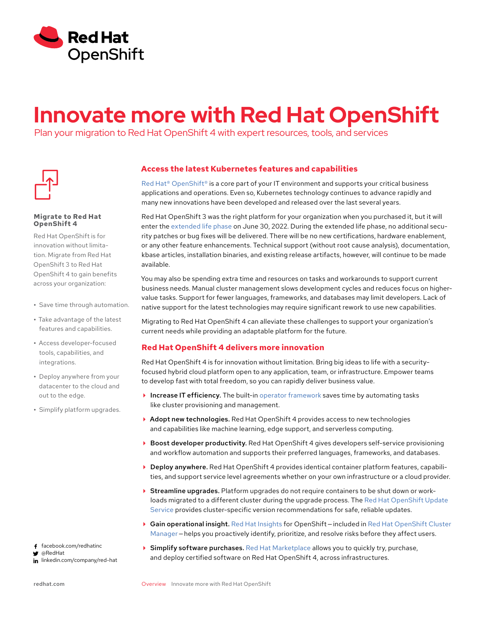

# **Innovate more with Red Hat OpenShift**

Plan your migration to Red Hat OpenShift 4 with expert resources, tools, and services



# **Migrate to Red Hat OpenShift 4**

Red Hat OpenShift is for innovation without limitation. Migrate from Red Hat OpenShift 3 to Red Hat OpenShift 4 to gain benefits across your organization:

- **•** Save time through automation.
- **•** Take advantage of the latest features and capabilities.
- **•** Access developer-focused tools, capabilities, and integrations.
- **•** Deploy anywhere from your datacenter to the cloud and out to the edge.
- **•** Simplify platform upgrades.

# facebook.com/redhatinc

@RedHat

in linkedin.com/company/red-hat

# **Access the latest Kubernetes features and capabilities**

[Red Hat® OpenShift®](https://www.redhat.com/en/technologies/cloud-computing/openshift) is a core part of your IT environment and supports your critical business applications and operations. Even so, Kubernetes technology continues to advance rapidly and many new innovations have been developed and released over the last several years.

Red Hat OpenShift 3 was the right platform for your organization when you purchased it, but it will enter the [extended life phase](https://access.redhat.com/support/policy/updates/openshift_noncurrent/) on June 30, 2022. During the extended life phase, no additional security patches or bug fixes will be delivered. There will be no new certifications, hardware enablement, or any other feature enhancements. Technical support (without root cause analysis), documentation, kbase articles, installation binaries, and existing release artifacts, however, will continue to be made available.

You may also be spending extra time and resources on tasks and workarounds to support current business needs. Manual cluster management slows development cycles and reduces focus on highervalue tasks. Support for fewer languages, frameworks, and databases may limit developers. Lack of native support for the latest technologies may require significant rework to use new capabilities.

Migrating to Red Hat OpenShift 4 can alleviate these challenges to support your organization's current needs while providing an adaptable platform for the future.

# **Red Hat OpenShift 4 delivers more innovation**

Red Hat OpenShift 4 is for innovation without limitation. Bring big ideas to life with a securityfocused hybrid cloud platform open to any application, team, or infrastructure. Empower teams to develop fast with total freedom, so you can rapidly deliver business value.

- $\blacktriangleright$  Increase IT efficiency. The built-in [operator framework](https://www.redhat.com/en/about/videos/red-hat-openshift-operators-framework) saves time by automating tasks like cluster provisioning and management.
- ▶ Adopt new technologies. Red Hat OpenShift 4 provides access to new technologies and capabilities like machine learning, edge support, and serverless computing.
- Boost developer productivity. Red Hat OpenShift 4 gives developers self-service provisioning and workflow automation and supports their preferred languages, frameworks, and databases.
- Deploy anywhere. Red Hat OpenShift 4 provides identical container platform features, capabilities, and support service level agreements whether on your own infrastructure or a cloud provider.
- Streamline upgrades. Platform upgrades do not require containers to be shut down or workloads migrated to a different cluster during the upgrade process. The [Red Hat OpenShift Update](https://access.redhat.com/documentation/en-us/openshift_container_platform/4.7/html/updating_clusters/understanding-the-update-service)  [Service](https://access.redhat.com/documentation/en-us/openshift_container_platform/4.7/html/updating_clusters/understanding-the-update-service) provides cluster-specific version recommendations for safe, reliable updates.
- Gain operational insight. [Red Hat Insights](https://www.redhat.com/en/technologies/management/insights?extIdCarryOver=true&intcmp=7013a000003BjYLAA0&sc_cid=7013a000003BjYLAA0) for OpenShift — included in [Red Hat OpenShift Cluster](https://cloud.redhat.com/openshift/)  [Manager](https://cloud.redhat.com/openshift/) – helps you proactively identify, prioritize, and resolve risks before they affect users.
- $\triangleright$  Simplify software purchases. [Red Hat Marketplace](https://marketplace.redhat.com/en-us) allows you to quickly try, purchase, and deploy certified software on Red Hat OpenShift 4, across infrastructures.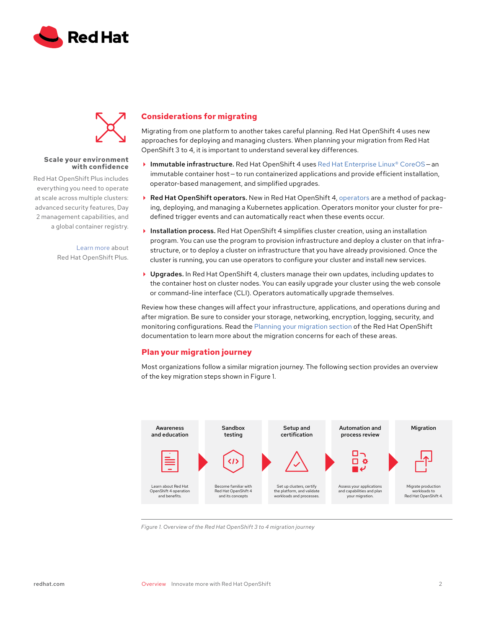



# **Scale your environment with confidence**

Red Hat OpenShift Plus includes everything you need to operate at scale across multiple clusters: advanced security features, Day 2 management capabilities, and a global container registry.

> [Learn more](https://www.openshift.com/products/platform-plus) about Red Hat OpenShift Plus.

# **Considerations for migrating**

Migrating from one platform to another takes careful planning. Red Hat OpenShift 4 uses new approaches for deploying and managing clusters. When planning your migration from Red Hat OpenShift 3 to 4, it is important to understand several key differences.

- **Immutable infrastructure.** Red Hat OpenShift 4 uses Red Hat Enterprise Linux® CoreOS an immutable container host — to run containerized applications and provide efficient installation, operator-based management, and simplified upgrades.
- ▶ Red Hat OpenShift [operators](https://access.redhat.com/documentation/en-us/openshift_container_platform/4.2/html/operators/olm-what-operators-are). New in Red Hat OpenShift 4, operators are a method of packaging, deploying, and managing a Kubernetes application. Operators monitor your cluster for predefined trigger events and can automatically react when these events occur.
- Installation process. Red Hat OpenShift 4 simplifies cluster creation, using an installation program. You can use the program to provision infrastructure and deploy a cluster on that infrastructure, or to deploy a cluster on infrastructure that you have already provisioned. Once the cluster is running, you can use operators to configure your cluster and install new services.
- ▶ Upgrades. In Red Hat OpenShift 4, clusters manage their own updates, including updates to the container host on cluster nodes. You can easily upgrade your cluster using the web console or command-line interface (CLI). Operators automatically upgrade themselves.

Review how these changes will affect your infrastructure, applications, and operations during and after migration. Be sure to consider your storage, networking, encryption, logging, security, and monitoring configurations. Read the [Planning your migration section](https://access.redhat.com/documentation/en-us/openshift_container_platform/4.4/html-single/migration/index#planning-migration-3-to-4) of the Red Hat OpenShift documentation to learn more about the migration concerns for each of these areas.

# **Plan your migration journey**

Most organizations follow a similar migration journey. The following section provides an overview of the key migration steps shown in Figure 1.



*Figure 1. Overview of the Red Hat OpenShift 3 to 4 migration journey*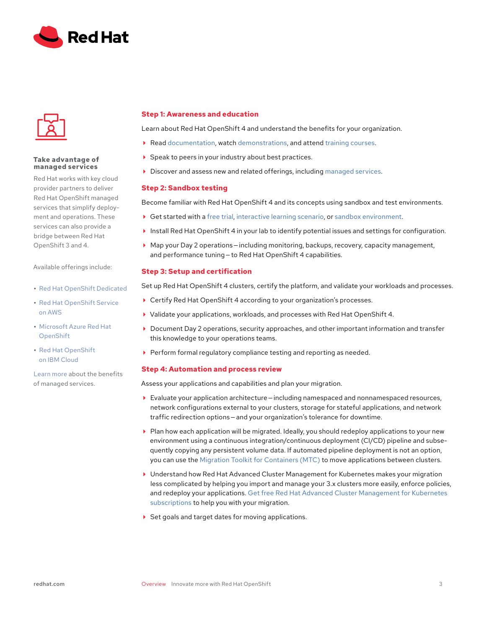



# **Take advantage of managed services**

Red Hat works with key cloud provider partners to deliver Red Hat OpenShift managed services that simplify deployment and operations. These services can also provide a bridge between Red Hat OpenShift 3 and 4.

Available offerings include:

- **•** [Red Hat OpenShift Dedicated](https://www.openshift.com/products/dedicated/)
- **•** [Red Hat OpenShift Service](https://www.openshift.com/products/amazon-openshift)  [on AWS](https://www.openshift.com/products/amazon-openshift)
- **•** [Microsoft Azure Red Hat](https://www.openshift.com/products/azure-openshift)  [OpenShift](https://www.openshift.com/products/azure-openshift)
- **•** [Red Hat OpenShift](https://www.ibm.com/cloud/openshift) [on IBM Cloud](https://www.ibm.com/cloud/openshift)

[Learn more](https://www.openshift.com/learn/topics/managed-services) about the benefits of managed services.

# **Step 1: Awareness and education**

Learn about Red Hat OpenShift 4 and understand the benefits for your organization.

- ▶ Read [documentation](https://access.redhat.com/products/openshift), watch [demonstrations,](https://demo.openshift.com/en/latest/) and attend [training courses](https://www.redhat.com/en/services/training/all-courses-exams?f%5B0%5D=taxonomy_product_tid%3A6921).
- ▶ Speak to peers in your industry about best practices.
- Discover and assess new and related offerings, including [managed services](https://www.openshift.com/learn/topics/managed-services).

# **Step 2: Sandbox testing**

Become familiar with Red Hat OpenShift 4 and its concepts using sandbox and test environments.

- Get started with a [free trial](https://www.redhat.com/en/technologies/cloud-computing/openshift/try-it), [interactive learning scenario](https://learn.openshift.com/), or [sandbox environment](https://developers.redhat.com/developer-sandbox).
- Install Red Hat OpenShift 4 in your lab to identify potential issues and settings for configuration.
- Map your Day 2 operations — including monitoring, backups, recovery, capacity management, and performance tuning — to Red Hat OpenShift 4 capabilities.

# **Step 3: Setup and certification**

Set up Red Hat OpenShift 4 clusters, certify the platform, and validate your workloads and processes.

- Certify Red Hat OpenShift 4 according to your organization's processes.
- Validate your applications, workloads, and processes with Red Hat OpenShift 4.
- Document Day 2 operations, security approaches, and other important information and transfer this knowledge to your operations teams.
- Perform formal regulatory compliance testing and reporting as needed.

# **Step 4: Automation and process review**

Assess your applications and capabilities and plan your migration.

- Evaluate your application architecture — including namespaced and nonnamespaced resources, network configurations external to your clusters, storage for stateful applications, and network traffic redirection options — and your organization's tolerance for downtime.
- Plan how each application will be migrated. Ideally, you should redeploy applications to your new environment using a continuous integration/continuous deployment (CI/CD) pipeline and subsequently copying any persistent volume data. If automated pipeline deployment is not an option, you can use the [Migration Toolkit for Containers \(MTC\)](https://access.redhat.com/documentation/en-us/openshift_container_platform/4.7/html/migration_toolkit_for_containers/index) to move applications between clusters.
- Understand how Red Hat Advanced Cluster Management for Kubernetes makes your migration less complicated by helping you import and manage your 3.x clusters more easily, enforce policies, and redeploy your applications. [Get free Red Hat Advanced Cluster Management for Kubernetes](https://www.redhat.com/en/engage/free-access-redhat-e-202202170127)  [subscriptions](https://www.redhat.com/en/engage/free-access-redhat-e-202202170127) to help you with your migration.
- ▶ Set goals and target dates for moving applications.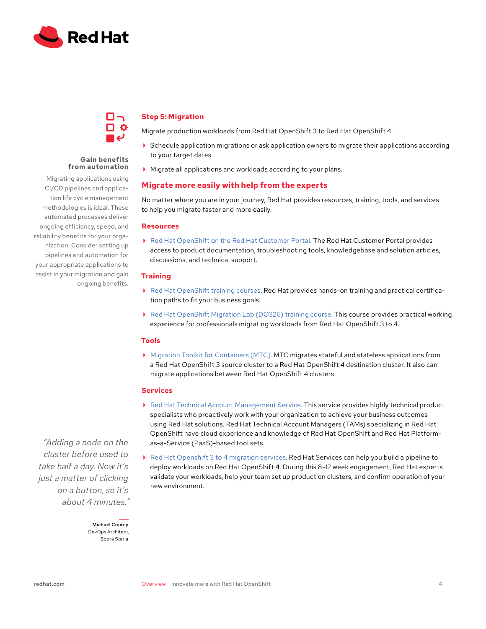

# **Gain benefits from automation**

CI/CD pipelines and application life cycle management methodologies is ideal. These automated processes deliver ongoing efficiency, speed, and reliability benefits for your organization. Consider setting up pipelines and automation for your appropriate applications to assist in your migration and gain ongoing benefits.

# Migrating applications using

# **Step 5: Migration**

Migrate production workloads from Red Hat OpenShift 3 to Red Hat OpenShift 4.

- Schedule application migrations or ask application owners to migrate their applications according to your target dates.
- Migrate all applications and workloads according to your plans.

# **Migrate more easily with help from the experts**

No matter where you are in your journey, Red Hat provides resources, training, tools, and services to help you migrate faster and more easily.

# **Resources**

 [Red Hat OpenShift on the Red Hat Customer Portal.](https://access.redhat.com/products/openshift) The Red Hat Customer Portal provides access to product documentation, troubleshooting tools, knowledgebase and solution articles, discussions, and technical support.

# **Training**

- [Red Hat OpenShift training courses](https://www.redhat.com/en/services/training/all-courses-exams?f%5B0%5D=taxonomy_product_tid%3A6921). Red Hat provides hands-on training and practical certification paths to fit your business goals.
- ▶ [Red Hat OpenShift Migration Lab \(DO326\) training course](https://www.redhat.com/en/services/training/do326-red-hat-openshift-migration-lab). This course provides practical working experience for professionals migrating workloads from Red Hat OpenShift 3 to 4.

# **Tools**

 [Migration Toolkit for Containers \(MTC\)](https://access.redhat.com/documentation/en-us/openshift_container_platform/4.7/html/migration_toolkit_for_containers/index). MTC migrates stateful and stateless applications from a Red Hat OpenShift 3 source cluster to a Red Hat OpenShift 4 destination cluster. It also can migrate applications between Red Hat OpenShift 4 clusters.

# **Services**

- [Red Hat Technical Account Management Service](https://access.redhat.com/support/offerings/tam/). This service provides highly technical product specialists who proactively work with your organization to achieve your business outcomes using Red Hat solutions. Red Hat Technical Account Managers (TAMs) specializing in Red Hat OpenShift have cloud experience and knowledge of Red Hat OpenShift and Red Hat Platformas-a-Service (PaaS)-based tool sets.
- [Red Hat Openshift 3 to 4 migration services](https://www.openshift.com/learn/topics/migration). Red Hat Services can help you build a pipeline to deploy workloads on Red Hat OpenShift 4. During this 8-12 week engagement, Red Hat experts validate your workloads, help your team set up production clusters, and confirm operation of your new environment.

*"Adding a node on the cluster before used to take half a day. Now it's just a matter of clicking on a button, so it's about 4 minutes."*

> Michael Courcy DevOps Architect, Sopra Steria